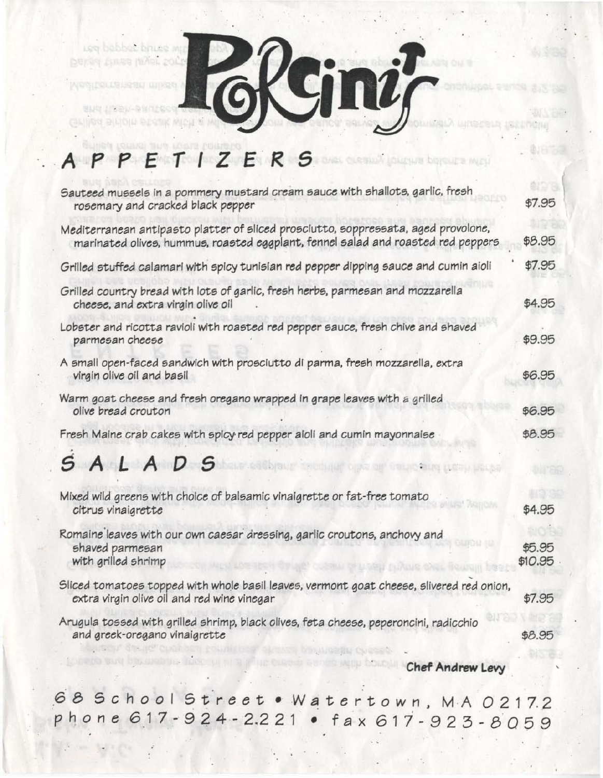red papper pures with beros finas misi polo

**WRSIDRLLSL** 

링U적 1/3국)

GNING BILIDIU BI

**QLADRE ON 1**  $\mathbf{n}i$ 

## **APPEf/ZERS**

| Sauteed mussels in a pommery mustard cream sauce with shallots, garlic, fresh<br>rosemary and cracked black pepper                                                     | \$7.95            |
|------------------------------------------------------------------------------------------------------------------------------------------------------------------------|-------------------|
| Mediterranean antipasto platter of sliced prosciutto, soppressata, aged provolone,<br>marinated olives, hummus, roasted eggplant, fennel salad and roasted red peppers | \$8.95            |
| Grilled stuffed calamari with spicy tunisian red pepper dipping sauce and cumin aioli                                                                                  | \$7.95            |
| Grilled country bread with lots of garlic, fresh herbs, parmesan and mozzarella<br>cheese, and extra virgin olive oil                                                  | \$4.95            |
| Lobster and ricotta ravioli with roasted red pepper sauce, fresh chive and shaved<br>parmesan cheese                                                                   | \$9.95            |
| A small open-faced sandwich with prosciutto di parma, fresh mozzarella, extra<br>virgin olive oil and basil                                                            | \$6.95            |
| Warm goat cheese and fresh oregano wrapped in grape leaves with a grilled<br>olive bread crouton                                                                       | \$6.95            |
| Fresh Maine crab cakes with spicy red pepper aioli and cumin mayonnaise                                                                                                | \$8.95            |
| SALADS                                                                                                                                                                 |                   |
| Mixed wild greens with choice of balsamic vinaigrette or fat-free tomato<br>citrus vinaigrette                                                                         | \$4.95            |
| Romaine leaves with our own caesar dressing, garlic croutons, anchovy and<br>shaved parmesan<br>with grilled shrimp                                                    | \$5.95<br>\$10.95 |
| Sliced tomatoes topped with whole basil leaves, vermont goat cheese, slivered red onion,<br>extra virgin olive oil and red wine vinegar                                | \$7.95            |
| Arugula tossed with grilled shrimp, black olives, feta cheese, peperoncini, radicchio<br>and greek-oregano vinaigrette                                                 | \$8.95            |
| Chof Androw Low                                                                                                                                                        |                   |

• **Chef Andrew Levy** 

**John Corp.** 

心污污

**Jack Mother** 

.6 8 5 *c* h *0 0* 1St r *e e* t • W Ii t *e* r *tow* n, MAO 2 1 7. <sup>2</sup> ph *o n e* 6 17 - 9 2 4 - 2.2 2 1 • f a x 6 17 - 9 2 3 - 8 0 5 9